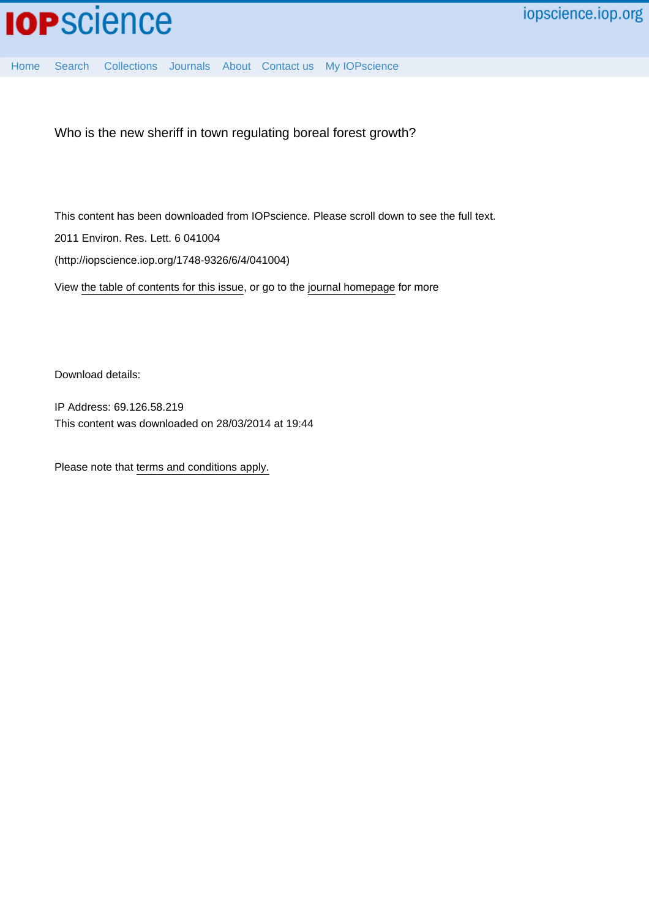

Who is the new sheriff in town regulating boreal forest growth?

This content has been downloaded from IOPscience. Please scroll down to see the full text.

2011 Environ. Res. Lett. 6 041004

(http://iopscience.iop.org/1748-9326/6/4/041004)

View [the table of contents for this issue](http://iopscience.iop.org/1748-9326/6/4), or go to the [journal homepage](http://iopscience.iop.org/1748-9326) for more

Download details:

IP Address: 69.126.58.219 This content was downloaded on 28/03/2014 at 19:44

Please note that [terms and conditions apply.](iopscience.iop.org/page/terms)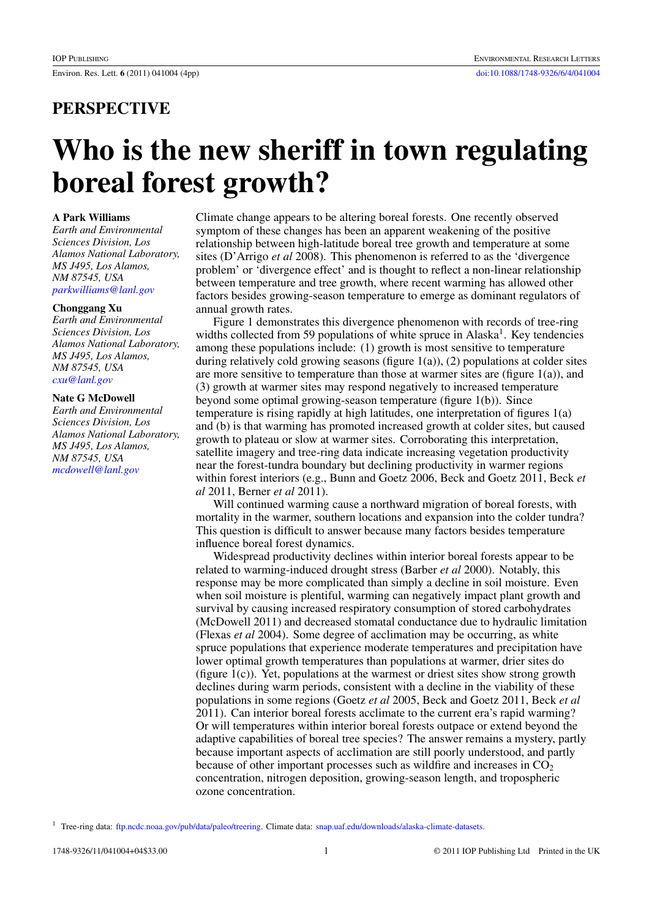## **PERSPECTIVE**

# **Who is the new sheriff in town regulating boreal forest growth?**

#### **A Park Williams**

*Earth and Environmental Sciences Division, Los Alamos National Laboratory, MS J495, Los Alamos, NM 87545, USA [parkwilliams@lanl.gov](mailto:parkwilliams@lanl.gov)*

#### **Chonggang Xu**

*Earth and Environmental Sciences Division, Los Alamos National Laboratory, MS J495, Los Alamos, NM 87545, USA [cxu@lanl.gov](mailto:cxu@lanl.gov)*

#### **Nate G McDowell**

*Earth and Environmental Sciences Division, Los Alamos National Laboratory, MS J495, Los Alamos, NM 87545, USA [mcdowell@lanl.gov](mailto:mcdowell@lanl.gov)*

Climate change appears to be altering boreal forests. One recently observed symptom of these changes has been an apparent weakening of the positive relationship between high-latitude boreal tree growth and temperature at some sites (D'Arrigo *et al* 2008). This phenomenon is referred to as the 'divergence problem' or 'divergence effect' and is thought to reflect a non-linear relationship between temperature and tree growth, where recent warming has allowed other factors besides growing-season temperature to emerge as dominant regulators of annual growth rates.

Figure 1 demonstrates this divergence phenomenon with records of tree-ring widths collected from 59 populations of white spruce in Alaska<sup>1</sup>. Key tendencies among these populations include: (1) growth is most sensitive to temperature during relatively cold growing seasons (figure  $1(a)$ ), (2) populations at colder sites are more sensitive to temperature than those at warmer sites are (figure  $1(a)$ ), and (3) growth at warmer sites may respond negatively to increased temperature beyond some optimal growing-season temperature (figure 1(b)). Since temperature is rising rapidly at high latitudes, one interpretation of figures 1(a) and (b) is that warming has promoted increased growth at colder sites, but caused growth to plateau or slow at warmer sites. Corroborating this interpretation, satellite imagery and tree-ring data indicate increasing vegetation productivity near the forest-tundra boundary but declining productivity in warmer regions within forest interiors (e.g., Bunn and Goetz 2006, Beck and Goetz 2011, Beck *et al* 2011, Berner *et al* 2011).

Will continued warming cause a northward migration of boreal forests, with mortality in the warmer, southern locations and expansion into the colder tundra? This question is difficult to answer because many factors besides temperature influence boreal forest dynamics.

Widespread productivity declines within interior boreal forests appear to be related to warming-induced drought stress (Barber *et al* 2000). Notably, this response may be more complicated than simply a decline in soil moisture. Even when soil moisture is plentiful, warming can negatively impact plant growth and survival by causing increased respiratory consumption of stored carbohydrates (McDowell 2011) and decreased stomatal conductance due to hydraulic limitation (Flexas *et al* 2004). Some degree of acclimation may be occurring, as white spruce populations that experience moderate temperatures and precipitation have lower optimal growth temperatures than populations at warmer, drier sites do (figure 1(c)). Yet, populations at the warmest or driest sites show strong growth declines during warm periods, consistent with a decline in the viability of these populations in some regions (Goetz *et al* 2005, Beck and Goetz 2011, Beck *et al* 2011). Can interior boreal forests acclimate to the current era's rapid warming? Or will temperatures within interior boreal forests outpace or extend beyond the adaptive capabilities of boreal tree species? The answer remains a mystery, partly because important aspects of acclimation are still poorly understood, and partly because of other important processes such as wildfire and increases in  $CO<sub>2</sub>$ concentration, nitrogen deposition, growing-season length, and tropospheric ozone concentration.

<sup>&</sup>lt;sup>1</sup> Tree-ring data: [ftp.ncdc.noaa.gov/pub/data/paleo/treering](http://ftp.ncdc.noaa.gov/pub/data/paleo/treering). Climate data: [snap.uaf.edu/downloads/alaska-climate-datasets.](http://snap.uaf.edu/downloads/alaska-climate-datasets)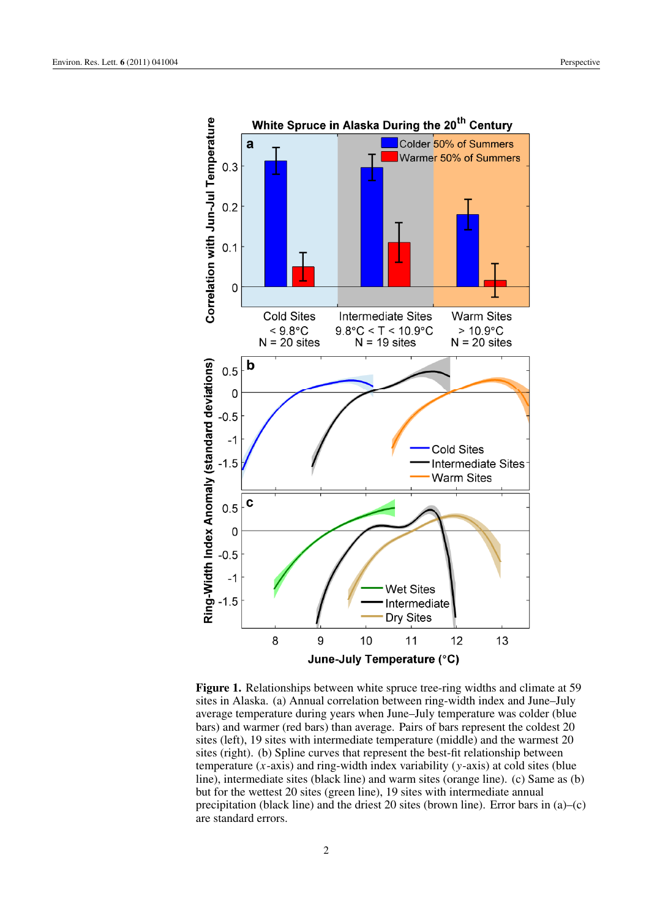

**Figure 1.** Relationships between white spruce tree-ring widths and climate at 59 sites in Alaska. (a) Annual correlation between ring-width index and June–July average temperature during years when June–July temperature was colder (blue bars) and warmer (red bars) than average. Pairs of bars represent the coldest 20 sites (left), 19 sites with intermediate temperature (middle) and the warmest 20 sites (right). (b) Spline curves that represent the best-fit relationship between temperature (*x*-axis) and ring-width index variability (*y*-axis) at cold sites (blue line), intermediate sites (black line) and warm sites (orange line). (c) Same as (b) but for the wettest 20 sites (green line), 19 sites with intermediate annual precipitation (black line) and the driest 20 sites (brown line). Error bars in (a)–(c) are standard errors.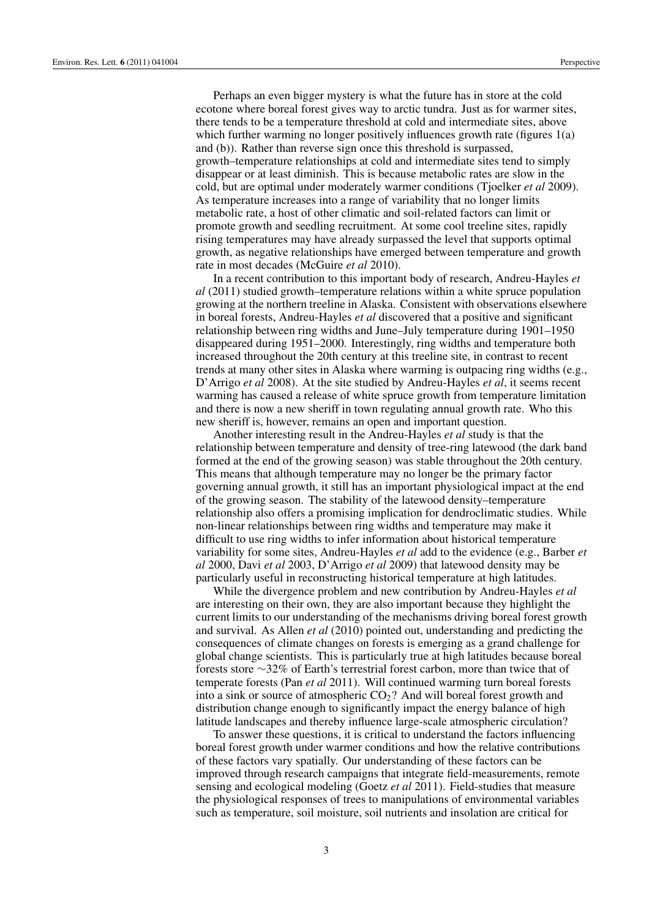Perhaps an even bigger mystery is what the future has in store at the cold ecotone where boreal forest gives way to arctic tundra. Just as for warmer sites, there tends to be a temperature threshold at cold and intermediate sites, above which further warming no longer positively influences growth rate (figures 1(a) and (b)). Rather than reverse sign once this threshold is surpassed, growth–temperature relationships at cold and intermediate sites tend to simply disappear or at least diminish. This is because metabolic rates are slow in the cold, but are optimal under moderately warmer conditions (Tjoelker *et al* 2009). As temperature increases into a range of variability that no longer limits metabolic rate, a host of other climatic and soil-related factors can limit or promote growth and seedling recruitment. At some cool treeline sites, rapidly rising temperatures may have already surpassed the level that supports optimal growth, as negative relationships have emerged between temperature and growth rate in most decades (McGuire *et al* 2010).

In a recent contribution to this important body of research, Andreu-Hayles *et al* (2011) studied growth–temperature relations within a white spruce population growing at the northern treeline in Alaska. Consistent with observations elsewhere in boreal forests, Andreu-Hayles *et al* discovered that a positive and significant relationship between ring widths and June–July temperature during 1901–1950 disappeared during 1951–2000. Interestingly, ring widths and temperature both increased throughout the 20th century at this treeline site, in contrast to recent trends at many other sites in Alaska where warming is outpacing ring widths (e.g., D'Arrigo *et al* 2008). At the site studied by Andreu-Hayles *et al*, it seems recent warming has caused a release of white spruce growth from temperature limitation and there is now a new sheriff in town regulating annual growth rate. Who this new sheriff is, however, remains an open and important question.

Another interesting result in the Andreu-Hayles *et al* study is that the relationship between temperature and density of tree-ring latewood (the dark band formed at the end of the growing season) was stable throughout the 20th century. This means that although temperature may no longer be the primary factor governing annual growth, it still has an important physiological impact at the end of the growing season. The stability of the latewood density–temperature relationship also offers a promising implication for dendroclimatic studies. While non-linear relationships between ring widths and temperature may make it difficult to use ring widths to infer information about historical temperature variability for some sites, Andreu-Hayles *et al* add to the evidence (e.g., Barber *et al* 2000, Davi *et al* 2003, D'Arrigo *et al* 2009) that latewood density may be particularly useful in reconstructing historical temperature at high latitudes.

While the divergence problem and new contribution by Andreu-Hayles *et al* are interesting on their own, they are also important because they highlight the current limits to our understanding of the mechanisms driving boreal forest growth and survival. As Allen *et al* (2010) pointed out, understanding and predicting the consequences of climate changes on forests is emerging as a grand challenge for global change scientists. This is particularly true at high latitudes because boreal forests store ∼32% of Earth's terrestrial forest carbon, more than twice that of temperate forests (Pan *et al* 2011). Will continued warming turn boreal forests into a sink or source of atmospheric  $CO<sub>2</sub>$ ? And will boreal forest growth and distribution change enough to significantly impact the energy balance of high latitude landscapes and thereby influence large-scale atmospheric circulation?

To answer these questions, it is critical to understand the factors influencing boreal forest growth under warmer conditions and how the relative contributions of these factors vary spatially. Our understanding of these factors can be improved through research campaigns that integrate field-measurements, remote sensing and ecological modeling (Goetz *et al* 2011). Field-studies that measure the physiological responses of trees to manipulations of environmental variables such as temperature, soil moisture, soil nutrients and insolation are critical for